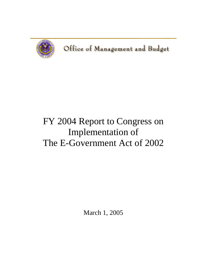

# FY 2004 Report to Congress on Implementation of The E-Government Act of 2002

March 1, 2005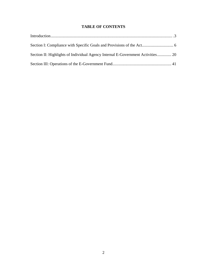# **TABLE OF CONTENTS**

| Section II: Highlights of Individual Agency Internal E-Government Activities 20 |  |
|---------------------------------------------------------------------------------|--|
|                                                                                 |  |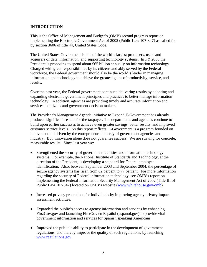## <span id="page-2-0"></span>**INTRODUCTION**

This is the Office of Management and Budget's (OMB) second progress report on implementing the Electronic Government Act of 2002 (Public Law 107-347) as called for by section 3606 of title 44, United States Code.

The United States Government is one of the world's largest producers, users and acquirers of data, information, and supporting technology systems. In FY 2006 the President is proposing to spend about \$65 billion annually on information technology. Charged with great responsibilities by its citizens and ably served by the Federal workforce, the Federal government should also be the world's leader in managing information and technology to achieve the greatest gains of productivity, service, and results.

Over the past year, the Federal government continued delivering results by adopting and expanding electronic government principles and practices to better manage information technology. In addition, agencies are providing timely and accurate information and services to citizens and government decision makers.

The President's Management Agenda initiative to Expand E-Government has already produced significant results for the taxpayer. The departments and agencies continue to build upon earlier successes to achieve even greater savings, better results, and improved customer service levels. As this report reflects, E-Government is a program founded on innovation and driven by the entrepreneurial energy of government agencies and industry. But, innovation alone does not guarantee success. We are striving for concrete, measurable results. Since last year we:

- Strengthened the security of government facilities and information technology systems. For example, the National Institute of Standards and Technology, at the direction of the President, is developing a standard for Federal employee identification. Also, between September 2003 and September 2004, the percentage of secure agency systems has risen from 62 percent to 77 percent. For more information regarding the security of Federal information technology, see OMB's report on implementing the Federal Information Security Management Act of 2002 (Title III of Public Law 107-347) located on OMB's website [\(www.whitehouse.gov/omb](http://www.whitehouse.gov/omb)).
- Increased privacy protections for individuals by improving agency privacy impact assessment activities.
- Expanded the public's access to agency information and services by enhancing FirstGov.gov and launching FirstGov en Español (espanol.gov) to provide vital government information and services for Spanish speaking Americans.
- Improved the public's ability to participate in the development of government regulations, and thereby improve the quality of such regulations, by launching [www.regulations.gov](http://www.regulations.gov/).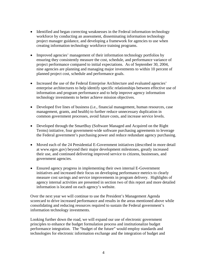- Identified and began correcting weaknesses in the Federal information technology workforce by conducting an assessment, disseminating information technology project manager guidance, and developing a framework for agencies to use when creating information technology workforce training programs.
- Improved agencies' management of their information technology portfolios by ensuring they consistently measure the cost, schedule, and performance variance of project performance compared to initial expectations. As of September 30, 2004, nine agencies are planning and managing major investments to within 10 percent of planned project cost, schedule and performance goals.
- Increased the use of the Federal Enterprise Architecture and evaluated agencies' enterprise architectures to help identify specific relationships between effective use of information and program performance and to help improve agency information technology investments to better achieve mission objectives.
- Developed five lines of business (i.e., financial management, human resources, case management, grants, and health) to further reduce unnecessary duplication in common government processes, avoid future costs, and increase service levels.
- Developed through the SmartBuy (Software Managed and Acquired on the Right Terms) initiative, four government-wide software purchasing agreements to leverage the Federal government's purchasing power and reduce redundant agency purchasing.
- Moved each of the 24 Presidential E-Government initiatives (described in more detail at www.egov.gov) beyond their major development milestones, greatly increased their use, and continued delivering improved service to citizens, businesses, and government agencies.
- Ensured agency progress in implementing their own internal E-Government initiatives and increased their focus on developing performance metrics to clearly measure cost savings and service improvements in program delivery. Highlights of agency internal activities are presented in section two of this report and more detailed information is located on each agency's website.

Over the next year we will continue to use the President's Management Agenda scorecard to drive increased performance and results in the areas mentioned above while consolidating and reducing resources required to sustain the Federal government's information technology investments.

Looking further down the road, we will expand our use of electronic government principles to enhance the budget formulation process and institutionalize budget performance integration. The "budget of the future" would employ standards and technologies for electronic information exchange and the integration of budget and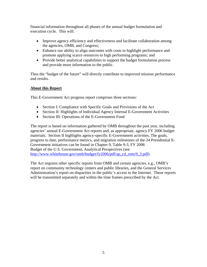financial information throughout all phases of the annual budget formulation and execution cycle. This will:

- Improve agency efficiency and effectiveness and facilitate collaboration among the agencies, OMB, and Congress;
- Enhance our ability to align outcomes with costs to highlight performance and promote applying scarce resources to high performing programs; and
- Provide better analytical capabilities to support the budget formulation process and provide more information to the public.

Thus the "budget of the future" will directly contribute to improved mission performance and results.

# **About this Report**

This E-Government Act progress report comprises three sections:

- Section I: Compliance with Specific Goals and Provisions of the Act
- Section II: Highlights of Individual Agency Internal E-Government Activities
- Section III: Operations of the E-Government Fund

The report is based on information gathered by OMB throughout the past year, including agencies' annual E-Government Act reports and, as appropriate, agency FY 2006 budget materials. Section II highlights agency-specific E-Government activities. The goals, progress to date, performance metrics, and migration milestones of the 24 Presidential E-Government initiatives can be found in Chapter 9, Table 9-3, FY 2006 Budget of the U.S. Government, Analytical Perspectives (see [http://www.whitehouse.gov/omb/budget/fy2006/pdf/ap\\_cd\\_rom/9\\_3.pdf](http://www.whitehouse.gov/omb/budget/fy2006/pdf/ap_cd_rom/9_3.pdf)).

The Act requires other specific reports from OMB and certain agencies, e.g., OMB's report on community technology centers and public libraries, and the General Services Administration's report on disparities in the public's access to the Internet. These reports will be transmitted separately and within the time frames prescribed by the Act.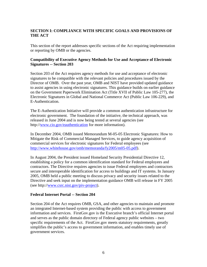# <span id="page-5-0"></span>**SECTION I: COMPLIANCE WITH SPECIFIC GOALS AND PROVISIONS OF THE ACT**

This section of the report addresses specific sections of the Act requiring implementation or reporting by OMB or the agencies.

## **Compatibility of Executive Agency Methods for Use and Acceptance of Electronic Signatures -- Section 203**

Section 203 of the Act requires agency methods for use and acceptance of electronic signatures to be compatible with the relevant policies and procedures issued by the Director of OMB. Over the past year, OMB and NIST have provided updated guidance to assist agencies in using electronic signatures. This guidance builds on earlier guidance on the Government Paperwork Elimination Act (Title XVII of Public Law 105-277), the Electronic Signatures in Global and National Commerce Act (Public Law 106-229), and E-Authentication.

The E-Authentication Initiative will provide a common authentication infrastructure for electronic government. The foundation of the initiative, the technical approach, was released in June 2004 and is now being tested at several agencies (see http://[www.cio.gov/eauthentication](http://www.cio.gov/eauthentication) for more information).

In December 2004, OMB issued Memorandum M-05-05 Electronic Signatures: How to Mitigate the Risk of Commercial Managed Services, to guide agency acquisition of commercial services for electronic signatures for Federal employees (see [http://www.whitehouse.gov/omb/memoranda/fy2005/m05-05.pdf\)](http://www.whitehouse.gov/omb/memoranda/fy2005/m05-05.pdf).

In August 2004, the President issued Homeland Security Presidential Directive 12, establishing a policy for a common identification standard for Federal employees and contractors. The Directive requires agencies to issue Federal employees and contractors secure and interoperable identification for access to buildings and IT systems. In January 2005, OMB held a public meeting to discuss privacy and security issues related to the Directive and seek input on the implementation guidance OMB will release in FY 2005 (see http:/[/www.csrc.nist.gov/piv-project\)](http://www.csrc.nist.gov/piv-project).

## **Federal Internet Portal -- Section 204**

Section 204 of the Act requires OMB, GSA, and other agencies to maintain and promote an integrated Internet-based system providing the public with access to government information and services. FirstGov.gov is the Executive branch's official Internet portal and serves as the public domain directory of Federal agency public websites – two specific requirements of the Act. FirstGov.gov meets statutory requirements, greatly simplifies the public's access to government information, and enables timely use of government services.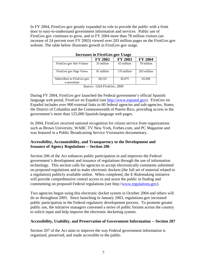In FY 2004, FirstGov.gov greatly expanded its role to provide the public with a front door to easy-to-understand government information and services. Public use of FirstGov.gov continues to grow, and in FY 2004 more than 78 million visitors (an increase of 24 percent over FY 2003) viewed over 203 million pages on the FirstGov.gov website. The table below illustrates growth in FirstGov.gov usage.

|                                             | <b>FY 2002</b> | <b>FY 2003</b> | <b>FY 2004</b> |
|---------------------------------------------|----------------|----------------|----------------|
| FirstGov.gov Site Visitors                  | 33 million     | 63 million     | 78 million     |
| FirstGov.gov Page Views                     | 91 million     | 176 million    | 203 million    |
| Subscribers to FirstGov.gov<br>e-newsletter | 28,532         | 45,075         | 65,946         |

**Increases in FirstGov.gov Usage**

*Source: GSA FirstGov, 2004*

During FY 2004, FirstGov.gov launched the Federal government's official Spanish language web portal, FirstGov en Español (see [http://www.espanol.gov\)](http://www.espanol.gov/). FirstGov en Español includes over 900 external links to 60 federal agencies and sub-agencies, States, the District of Columbia and the Commonwealth of Puerto Rico, providing access to the government's more than 125,000 Spanish-language web pages.

In 2004, FirstGov received national recognition for citizen service from organizations such as Brown University, WABC TV New York, Forbes.com, and PC Magazine and was featured in a Public Broadcasting Service Visionaries documentary.

## **Accessibility, Accountability, and Transparency to the Development and Issuance of Agency Regulations -- Section 206**

Section 206 of the Act enhances public participation in and improves the Federal government's development and issuance of regulations through the use of information technology. This section calls for agencies to accept electronically comments submitted on proposed regulations and to make electronic dockets (the full set of material related to a regulation) publicly available online. When completed, the E-Rulemaking initiative will provide comprehensive central access to and assist the public in finding and commenting on proposed Federal regulations (see http:/[/www.regulations.gov\)](http://www.regulations.gov/).

Two agencies began using this electronic docket system in October 2004 and others will do so throughout 2005. Since launching in January 2003, regulations.gov increased public participation in the Federal regulatory development process. To promote greater public use, the initiative managers convened a series of public forums across the country to solicit input and help improve the electronic docketing system.

## **Accessibility, Usability, and Preservation of Government Information -- Section 207**

Section 207 of the Act aims to improve the way Federal government information is organized, preserved, and made accessible to the public.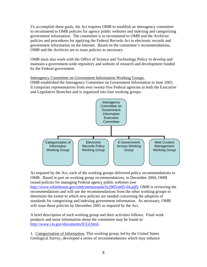To accomplish these goals, the Act requires OMB to establish an interagency committee to recommend to OMB policies for agency public websites and indexing and categorizing government information. The committee is to recommend to OMB and the Archivist policies and procedures for applying the Federal Records Act to electronic records and government information on the Internet. Based on the committee's recommendations, OMB and the Archivist are to issue policies as necessary.

OMB must also work with the Office of Science and Technology Policy to develop and maintain a government-wide repository and website of research and development funded by the Federal government.

# Interagency Committee on Government Information Working Groups.

OMB established the Interagency Committee on Government Information in June 2003. It comprises representatives from over twenty-five Federal agencies in both the Executive and Legislative Branches and is organized into four working groups.



As required by the Act, each of the working groups delivered policy recommendations to OMB. Based in part on working group recommendations, in December 2004, OMB issued policies for managing Federal agency public websites (see http://www.whitehouse.gov/omb/memoranda/fy2005/m05-04.pdf). OMB is reviewing the recommendations and will use the recommendations from the other working groups to determine the extent to which new policies are needed concerning the adoption of standards for categorizing and indexing government information. As necessary, OMB will issue those policies by December 2005 as required by the Act.

A brief description of each working group and their activities follows. Final work products and more information about the committee may be found at: [http://www.cio.gov/documents/ICGI.html.](http://www.cio.gov/documents/ICGI.html)

1. Categorization of Information. This working group, led by the United States Geological Survey, developed a series of recommendations which may enhance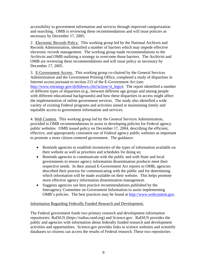accessibility to government information and services through improved categorization and searching. OMB is reviewing these recommendations and will issue policies as necessary by December 17, 2005.

2. Electronic Records Policy. This working group led by the National Archives and Records Administration, identified a number of barriers which may impede effective electronic records management. The working group made recommendations to the Archivist and OMB outlining a strategy to overcome those barriers. The Archivist and OMB are reviewing these recommendations and will issue policy as necessary by December 17, 2005.

3. E-Government Access. This working group co-chaired by the General Services Administration and the Government Printing Office, completed a study of disparities in Internet access pursuant to section 215 of the E-Government Act (see: http://www.estrategy.gov/drilldown.cfm?action=it\_legis). The report identified a number of different types of disparities (e.g., between different age groups and among people with different educational backgrounds) and how these disparities in access might affect the implementation of online government services. The study also identified a wide variety of existing Federal programs and activities aimed at maintaining timely and equitable access to government information and services.

4. Web Content. This working group led by the General Services Administration, provided to OMB recommendations to assist in developing policies for Federal agency public websites. OMB issued policy on December 17, 2004, describing the efficient, effective, and appropriately consistent use of Federal agency public websites as important to promote a more citizen-centered government. The guidance:

- Reminds agencies to establish inventories of the types of information available on their website as well as priorities and schedules for doing so;
- Reminds agencies to communicate with the public and with State and local governments to ensure agency information dissemination products meet their respective needs. In their annual E-Government Act reports to OMB, agencies described their process for communicating with the public and for determining which information will be made available on their website. This helps promote more effective agency information dissemination management.
- Suggests agencies use best practice recommendations published by the Interagency Committee on Government Information to assist implementing OMB's policies. The best practices may be found at [http://www.webcontent.gov.](http://www.webcontent.gov/)

## Information Regarding Federally Funded Research and Development.

The Federal government funds two primary research and development information repositories: RaDiUS (https://radius.rand.org) and Science.gov. RaDiUS provides the public and agencies with information about federally funded research and development activities and opportunities. Science.gov provides links to science websites and scientific databases so citizens can access the results of Federal research. These two repositories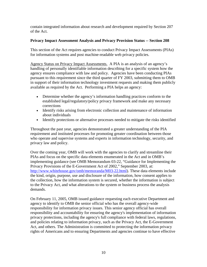contain integrated information about research and development required by Section 207 of the Act.

#### **Privacy Impact Assessment Analysis and Privacy Provision Status -- Section 208**

This section of the Act requires agencies to conduct Privacy Impact Assessments (PIAs) for information systems and post machine-readable web privacy policies.

Agency Status on Privacy Impact Assessments. A PIA is an analysis of an agency's handling of personally identifiable information describing for a specific system how the agency ensures compliance with law and policy. Agencies have been conducting PIAs pursuant to this requirement since the third quarter of FY 2003, submitting them to OMB in support of their information technology investment requests and making them publicly available as required by the Act. Performing a PIA helps an agency:

- Determine whether the agency's information handling practices conform to the established legal/regulatory/policy privacy framework and make any necessary corrections
- Identify risks arising from electronic collection and maintenance of information about individuals
- Identify protections or alternative processes needed to mitigate the risks identified

Throughout the past year, agencies demonstrated a greater understanding of the PIA requirement and instituted processes for promoting greater coordination between those who operate and supervise systems and experts in information technology, security, and privacy law and policy.

Over the coming year, OMB will work with the agencies to clarify and streamline their PIAs and focus on the specific data elements enumerated in the Act and in OMB's implementing guidance (see OMB Memorandum 03-22, "Guidance for Implementing the Privacy Provisions of the E-Government Act of 2002," September 2003, at: [http://www.whitehouse.gov/omb/memoranda/M03-22.html\)](http://www.whitehouse.gov/omb/memoranda/M03-22.html). These data elements include the kind, origin, purpose, use and disclosure of the information, how consent applies to the collection, how the information system is secured, whether the information is subject to the Privacy Act, and what alterations to the system or business process the analysis demands.

On February 11, 2005, OMB issued guidance requesting each executive Department and agency to identify to OMB the senior official who has the overall agency-wide responsibility for information privacy issues. This senior agency official has overall responsibility and accountability for ensuring the agency's implementation of information privacy protections, including the agency's full compliance with federal laws, regulations, and policies relating to information privacy, such as the Privacy Act, the E-Government Act, and others. The Administration is committed to protecting the information privacy rights of Americans and to ensuring Departments and agencies continue to have effective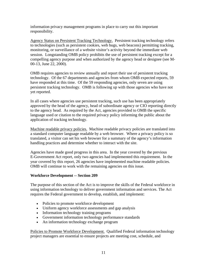information privacy management programs in place to carry out this important responsibility.

Agency Status on Persistent Tracking Technology.Persistent tracking technology refers to technologies (such as persistent cookies, web bugs, web beacons) permitting tracking, monitoring, or surveillance of a website visitor's activity beyond the immediate web session. Longstanding OMB policy prohibits the use of persistent tracking except for a compelling agency purpose and when authorized by the agency head or designee (see M-00-13, June 22, 2000).

OMB requires agencies to review annually and report their use of persistent tracking technology. Of the 67 departments and agencies from whom OMB expected reports, 59 have responded at this time. Of the 59 responding agencies, only seven are using persistent tracking technology. OMB is following up with those agencies who have not yet reported.

In all cases where agencies use persistent tracking, such use has been appropriately approved by the head of the agency, head of subordinate agency or CIO reporting directly to the agency head. As required by the Act, agencies provided to OMB the specific language used or citation to the required privacy policy informing the public about the application of tracking technology.

Machine readable privacy policies. Machine readable privacy policies are translated into a standard computer language readable by a web browser. Where a privacy policy is so translated, a visitor can set his web browser for a summary of the agency's information handling practices and determine whether to interact with the site.

Agencies have made good progress in this area. In the year covered by the previous E-Government Act report, only two agencies had implemented this requirement. In the year covered by this report, 26 agencies have implemented machine readable policies. OMB will continue to work with the remaining agencies on this issue.

## **Workforce Development -- Section 209**

The purpose of this section of the Act is to improve the skills of the Federal workforce in using information technology to deliver government information and services. The Act requires the Federal government to develop, establish, and implement:

- Policies to promote workforce development
- Uniform agency workforce assessments and gap analysis
- Information technology training programs
- Government information technology performance standards
- An information technology exchange program

Policies to Promote Workforce Development. Qualified Federal information technology project managers are essential to ensure projects are meeting cost, schedule, and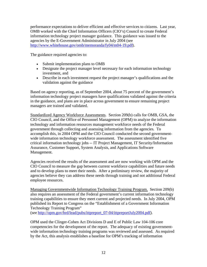performance expectations to deliver efficient and effective services to citizens. Last year, OMB worked with the Chief Information Officers (CIO's) Council to create Federal information technology project manager guidance. This guidance was issued to the agencies by the E-Government Administrator in July 2004 (see <http://www.whitehouse.gov/omb/memoranda/fy04/m04-19.pdf>).

The guidance required agencies to:

- Submit implementation plans to OMB
- Designate the project manager level necessary for each information technology investment, and
- Describe in each investment request the project manager's qualifications and the validation against the guidance

Based on agency reporting, as of September 2004, about 75 percent of the government's information technology project managers have qualifications validated against the criteria in the guidance, and plans are in place across government to ensure remaining project managers are trained and validated.

Standardized Agency Workforce Assessments. Section 209(b) calls for OMB, GSA, the CIO Council, and the Office of Personnel Management (OPM) to analyze the information technology and information resources management workforce needs of the Federal government through collecting and assessing information from the agencies. To accomplish this, in 2004 OPM and the CIO Council conducted the second governmentwide information technology workforce assessment. The assessment identified five critical information technology jobs -- IT Project Management, IT Security/Information Assurance, Customer Support, System Analysis, and Applications Software Management.

Agencies received the results of the assessment and are now working with OPM and the CIO Council to measure the gap between current workforce capabilities and future needs and to develop plans to meet their needs. After a preliminary review, the majority of agencies believe they can address these needs through training and not additional Federal employee resources.

Managing Governmentwide Information Technology Training Program.Section 209(b) also requires an assessment of the Federal government's current information technology training capabilities to ensure they meet current and projected needs. In July 2004, OPM published its Report to Congress on the "Establishment of a Government Information Technology Training Program"

(see [http://opm.gov/hrd/lead/pubs/ittpreport\\_07-04/ittpreportJuly2004.pdf\)](http://opm.gov/hrd/lead/pubs/ittpreport_07-04/ittpreportJuly2004.pdf).

OPM used the Clinger-Cohen Act Divisions D and E of Public Law 104-106 core competencies for the development of the report. The adequacy of existing governmentwide information technology training programs was reviewed and assessed. As required by the Act, this analysis establishes a baseline for OPM's tracking of information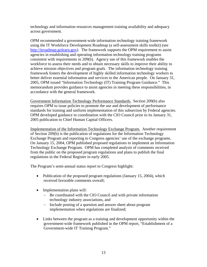technology and information resources management training availability and adequacy across government.

OPM recommended a government-wide information technology training framework using the IT Workforce Development Roadmap (a self-assessment skills toolkit) (see [http://itroadmap.golearn.gov](http://itroadmap.golearn.gov/)). The framework supports the OPM requirement to assist agencies in establishing and operating information technology training programs consistent with requirements in 209(b). Agency use of this framework enables the workforce to assess their needs and to obtain necessary skills to improve their ability to achieve mission objectives and program goals. The information technology training framework fosters the development of highly skilled information technology workers to better deliver essential information and services to the American people. On January 31, 2005, OPM issued "Information Technology (IT) Training Program Guidance." This memorandum provides guidance to assist agencies in meeting these responsibilities, in accordance with the general framework.

Government Information Technology Performance Standards. Section 209(b) also requires OPM to issue policies to promote the use and development of performance standards for training and uniform implementation of this subsection by Federal agencies. OPM developed guidance in coordination with the CIO Council prior to its January 31, 2005 publication to Chief Human Capital Officers.

Implementation of the Information Technology Exchange Program. Another requirement of Section 209(b) is the publication of regulations for the Information Technology Exchange Program and reporting to Congress agencies' use of the exchange programs. On January 15, 2004, OPM published proposed regulations to implement an Information Technology Exchange Program. OPM has completed analysis of comments received from the public on the proposed program regulations and plans to publish the final regulations in the Federal Register in early 2005.

The Program's semi-annual status report to Congress highlight:

- Publication of the proposed program regulations (January 15, 2004), which received favorable comments overall;
- Implementation plans will:
	- − Be coordinated with the CIO Council and with private information technology industry associations, and
	- − Include posting of a question and answer sheet about program implementation when regulations are finalized;
- Links between the program as a training and development opportunity within the government-wide framework published in the OPM report, "Establishment of a Government-wide IT Training Program."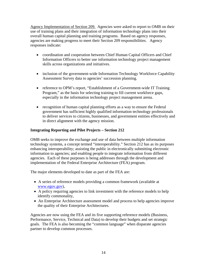Agency Implementation of Section 209. Agencies were asked to report to OMB on their use of training plans and their integration of information technology plans into their overall human capital planning and training programs. Based on agency responses, agencies are making progress to meet their Section 209 responsibilities. Agency responses indicate:

- coordination and cooperation between Chief Human Capital Officers and Chief Information Officers to better use information technology project management skills across organizations and initiatives.
- inclusion of the government-wide Information Technology Workforce Capability Assessment Survey data to agencies' succession planning.
- reference to OPM's report, "Establishment of a Government-wide IT Training Program," as the basis for selecting training to fill current workforce gaps, especially in the information technology project management arena.
- recognition of human capital planning efforts as a way to ensure the Federal government has sufficient highly qualified information technology professionals to deliver services to citizens, businesses, and government entities effectively and in direct alignment with the agency mission.

## **Integrating Reporting and Pilot Projects – Section 212**

OMB seeks to improve the exchange and use of data between multiple information technology systems, a concept termed "interoperability." Section 212 has as its purposes enhancing interoperability; assisting the public in electronically submitting electronic information to agencies; and enabling people to integrate information from different agencies. Each of these purposes is being addresses through the development and implementation of the Federal Enterprise Architecture (FEA) program.

The major elements developed to date as part of the FEA are:

- A series of reference models providing a common framework (available at [www.egov.gov\)](http://www.egov.gov/),
- A policy requiring agencies to link investment with the reference models to help identify commonality,
- An Enterprise Architecture assessment model and process to help agencies improve the quality of their Enterprise Architectures.

Agencies are now using the FEA and its five supporting reference models (Business, Performance, Service, Technical and Data) to develop their budgets and set strategic goals. The FEA is also becoming the "common language" when disparate agencies partner to develop common processes.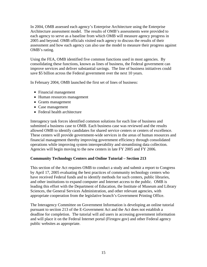In 2004, OMB assessed each agency's Enterprise Architecture using the Enterprise Architecture assessment model. The results of OMB's assessments were provided to each agency to serve as a baseline from which OMB will measure agency progress in 2005 and beyond. OMB officials visited each agency to discuss the results of their assessment and how each agency can also use the model to measure their progress against OMB's rating.

Using the FEA, OMB identified five common functions used in most agencies. By consolidating these functions, known as lines of business, the Federal government can improve services and deliver substantial savings. The line of business initiatives could save \$5 billion across the Federal government over the next 10 years.

In February 2004, OMB launched the first set of lines of business:

- Financial management
- Human resources management
- Grants management
- Case management
- Federal health architecture

Interagency task forces identified common solutions for each line of business and submitted a business case to OMB. Each business case was reviewed and the results allowed OMB to identify candidates for shared service centers or centers of excellence. These centers will provide government-wide services in the areas of human resources and financial management thereby improving government efficiency through consolidated operations while improving system interoperability and streamlining data collection. Agencies will begin moving to the new centers in late FY 2005 and FY 2006.

## **Community Technology Centers and Online Tutorial – Section 213**

This section of the Act requires OMB to conduct a study and submit a report to Congress by April 17, 2005 evaluating the best practices of community technology centers who have received Federal funds and to identify methods for such centers, public libraries, and other institutions to expand computer and Internet access to the public. OMB is leading this effort with the Department of Education, the Institute of Museum and Library Sciences, the General Services Administration, and other relevant agencies, with appropriate cooperation from the legislative branch's Government Printing Office.

The Interagency Committee on Government Information is developing an online tutorial pursuant to section 213 of the E-Government Act and the Act does not establish a deadline for completion. The tutorial will aid users in accessing government information and will place it on the Federal Internet portal (Firstgov.gov) and other Federal agency public websites as appropriate.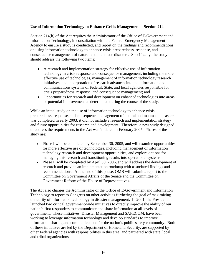## **Use of Information Technology to Enhance Crisis Management – Section 214**

Section 214(b) of the Act requires the Administrator of the Office of E-Government and Information Technology, in consultation with the Federal Emergency Management Agency to ensure a study is conducted, and report on the findings and recommendations, on using information technology to enhance crisis preparedness, response, and consequence management of natural and manmade disasters. Specifically, the study should address the following two items:

- A research and implementation strategy for effective use of information technology in crisis response and consequence management, including the more effective use of technologies, management of information technology research initiatives, and incorporation of research advances into the information and communications systems of Federal, State, and local agencies responsible for crisis preparedness, response, and consequence management; and
- Opportunities for research and development on enhanced technologies into areas of potential improvement as determined during the course of the study.

While an initial study on the use of information technology to enhance crisis preparedness, response, and consequence management of natural and manmade disasters was completed in early 2003, it did not include a research and implementation strategy and future opportunities for research and development. Therefore, a new study designed to address the requirements in the Act was initiated in February 2005. Phases of the study are:

- Phase I will be completed by September 30, 2005, and will examine opportunities for more effective use of technologies, including management of information technology research and development opportunities, and explore options for managing this research and transitioning results into operational systems.
- Phase II will be completed by April 30, 2006, and will address the development of research and provide an implementation roadmap with associated findings and recommendations. At the end of this phase, OMB will submit a report to the Committee on Government Affairs of the Senate and the Committee on Government Reform of the House of Representatives.

The Act also charges the Administrator of the Office of E-Government and Information Technology to report to Congress on other activities furthering the goal of maximizing the utility of information technology in disaster management. In 2001, the President launched two critical government-wide initiatives to directly improve the ability of our nation's first responders to communicate and share information at all levels of government. These initiatives, Disaster Management and SAFECOM, have been working to leverage information technology and develop standards to improve information sharing and communications for the nation's public safety community. Both of these initiatives are led by the Department of Homeland Security, are supported by other Federal agencies with responsibilities in this area, and partnered with state, local, and tribal organizations.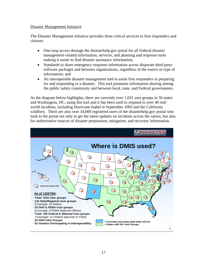#### Disaster Management Initiative

The Disaster Management initiative provides three critical services to first responders and citizens:

- One-stop access through the disasterhelp.gov portal for all Federal disaster management-related information, services, and planning and response tools making it easier to find disaster assistance information;
- Standards to share emergency response information across disparate third party software packages and between organizations, regardless of the source or type of information; and
- An interoperable disaster management tool to assist first responders in preparing for and responding to a disaster. This tool promotes information sharing among the public safety community and between local, state, and Federal governments.

As the diagram below highlights, there are currently over 1,031 user groups in 50 states and Washington, DC, using this tool and it has been used to respond to over 40 realworld incidents, including Hurricane Isabel in September 2003 and the California wildfires. There are also over 34,000 registered users of the disasterhelp.gov portal who look to the portal not only to get the latest updates on incidents across the nation, but also for authoritative sources of disaster preparation, mitigation, and recovery information.

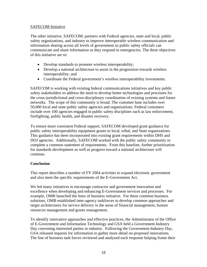#### SAFECOM Initiative

The other initiative, SAFECOM, partners with Federal agencies, state and local, public safety organizations, and industry to improve interoperable wireless communication and information sharing across all levels of government so public safety officials can communicate and share information as they respond to emergencies. The three objectives of this initiative are to:

- Develop standards to promote wireless interoperability;
- Develop a national architecture to assist in the progression towards wireless interoperability; and
- Coordinate the Federal government's wireless interoperability investments.

SAFECOM is working with existing federal communications initiatives and key public safety stakeholders to address the need to develop better technologies and processes for the cross-jurisdictional and cross-disciplinary coordination of existing systems and future networks. The scope of this community is broad. The customer base includes over 50,000 local and state public safety agencies and organizations. Federal customers include over 100 agencies engaged in public safety disciplines such as law enforcement, firefighting, public health, and disaster recovery.

To ensure more consistent Federal support, SAFECOM developed grant guidance for public safety interoperability equipment grants to local, tribal, and State organizations. This guidance has been incorporated into existing grant requirements within DHS and DOJ agencies. Additionally, SAFECOM worked with the public safety community to complete a common statement of requirements. From this baseline, further prioritization for standards development as well as progress toward a national architecture will continue.

## **Conclusion**

This report describes a number of FY 2004 activities to expand electronic government and also meet the specific requirements of the E-Government Act.

We led many initiatives to encourage contractor and government innovation and excellence when developing and enhancing E-Government services and processes. For example, OMB launched the lines of business initiative. For these common business solutions, OMB established inter-agency taskforces to develop common approaches and target architectures for service delivery in the areas of financial management, human resources management and grants management.

To identify innovative approaches and effective practices, the Administrator of the Office of E-Government and Information Technology and GSA held a Government-Industry Day convening interested parties in industry. Following the Government-Industry Day, GSA released requests for information to gather more detail on proposed innovations. The line of business task forces reviewed and analyzed each response helping frame their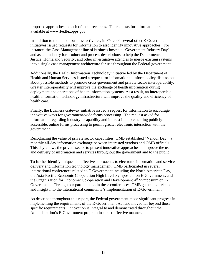proposed approaches in each of the three areas. The requests for information are available at www.Fedbizopps.gov.

In addition to the line of business activities, in FY 2004 several other E-Government initiatives issued requests for information to also identify innovative approaches. For instance, the Case Management line of business hosted a "Government Industry Day" and asked industry for product and process descriptions to help the Departments of Justice, Homeland Security, and other investigative agencies to merge existing systems into a single case management architecture for use throughout the Federal government.

Additionally, the Health Information Technology initiative led by the Department of Health and Human Services issued a request for information to inform policy discussions about possible methods to promote cross-government and private sector interoperability. Greater interoperability will improve the exchange of health information during deployment and operations of health information systems. As a result, an interoperable health information technology infrastructure will improve the quality and efficiency of health care.

Finally, the Business Gateway initiative issued a request for information to encourage innovative ways for government-wide forms processing. The request asked for information regarding industry's capability and interest in implementing publicly accessible, online forms processing to permit greater electronic interaction with the government.

Recognizing the value of private sector capabilities, OMB established "Vendor Day," a monthly all-day information exchange between interested vendors and OMB officials. This day allows the private sector to present innovative approaches to improve the use and delivery of information and services throughout the government and to the public.

To further identify unique and effective approaches to electronic information and service delivery and information technology management, OMB participated in several international conferences related to E-Government including the North American Day, the Asia-Pacific Economic Cooperation High Level Symposium on E-Government, and the Organization for Economic Co-operation and Development  $4<sup>th</sup>$  Symposium on E-Government. Through our participation in these conferences, OMB gained experience and insight into the international community's implementation of E-Government.

As described throughout this report, the Federal government made significant progress in implementing the requirements of the E-Government Act and moved far beyond those specific requirements. Innovation is integral to and demonstrated throughout the Administration's E-Government program in a cost-effective manner.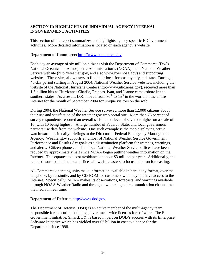## <span id="page-19-0"></span>**SECTION II: HIGHLIGHTS OF INDIVIDUAL AGENCY INTERNAL E-GOVERNMENT ACTIVITIES**

This section of the report summarizes and highlights agency specific E-Government activities. More detailed information is located on each agency's website.

#### **Department of Commerce:** [http://www.commerce.gov](http://www.commerce.gov/)

Each day an average of six million citizens visit the Department of Commerce (DoC) National Oceanic and Atmospheric Administration's (NOAA) main National Weather Service website (http://weather.gov, and also www.nws.noaa.gov) and supporting websites. These sites allow users to find their local forecast by city and state. During a 45-day period starting in August 2004, National Weather Service websites, including the website of the National Hurricane Center (http://www.nhc.noaa.gov), received more than 1.5 billion hits as Hurricanes Charlie, Frances, Ivan, and Jeanne came ashore in the southern states. As a result, DoC moved from  $70<sup>th</sup>$  to  $15<sup>th</sup>$  in the world on the entire Internet for the month of September 2004 for unique visitors on the web.

During 2004, the National Weather Service surveyed more than 12,000 citizens about their use and satisfaction of the weather.gov web portal site. More than 75 percent of survey respondents reported an overall satisfaction level of seven or higher on a scale of 10, with 10 being highest. A large number of Federal, State, and local government partners use data from the website. One such example is the map displaying active watch/warnings in daily briefings to the Director of Federal Emergency Management Agency. Weather.gov supports a number of National Weather Service Government Performance and Results Act goals as a dissemination platform for watches, warnings, and alerts. Citizen phone calls into local National Weather Service offices have been reduced by approximately half since NOAA began putting weather information on the Internet. This equates to a cost avoidance of about \$3 million per year. Additionally, the reduced workload at the local offices allows forecasters to focus better on forecasting.

All Commerce operating units make information available in hard copy format, over the telephone, by facsimile, and by CD-ROM for customers who may not have access to the Internet. Specifically, NOAA makes its observations, forecasts, and warnings available through NOAA Weather Radio and through a wide range of communication channels to the media in real time.

## **Department of Defense:** [http://www.dod.gov](http://www.dod.gov/)

The Department of Defense (DoD) is an active member of the multi-agency team responsible for executing complex, government-wide licenses for software. The E-Government initiative, SmartBUY, is based in part on DOD's success with its Enterprise Software Initiative which has yielded over \$2 billion in cost avoidance for the Department since 1998.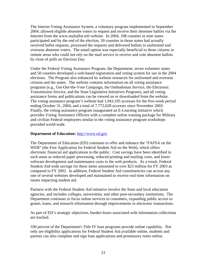The Interim Voting Assistance System, a voluntary program implemented in September 2004, allowed eligible absentee voters to request and receive their absentee ballots via the Internet from the www.myballot.mil website. In 2004, 108 counties in nine states participated and by the end of the election, 30 counties in those states had actually received ballot requests, processed the requests and delivered ballots to uniformed and overseas absentee voters. The email option was especially beneficial to those citizens in remote areas who could not rely on the mail service to receive and vote absentee ballots by close of polls on Election Day.

Under the Federal Voting Assistance Program, the Department, seven volunteer states and 50 counties developed a web-based registration and voting system for use in the 2004 elections. The Program also enhanced its website resources for uniformed and overseas citizens and the states. The website contains information on all voting assistance programs (e.g., Get-Out-the-Vote Campaign, the Ombudsman Service, the Electronic Transmission Service, and the State Legislative Initiatives Program), and all voting assistance forms and publications can be viewed on or downloaded from the website. The voting assistance program's website had 1,943,105 accesses for the five-week period ending October 31, 2004, and a total of 7,772,628 accesses since November 2003. Finally, the voting assistance program inaugurated an E-Learning initiative which provides Voting Assistance Officers with a complete online training package for Military and civilian Federal employees similar to the voting assistance program workshops provided world-wide.

#### **Department of Education:** [http://www.ed.gov](http://www.ed.gov/)

The Department of Education (ED) continues to offer and enhance the "FAFSA on the WEB" (the Free Application for Federal Student Aid on the Web), which offers electronic financial aid applications to the public. Cost savings have been identified in such areas as reduced paper processing, reduced printing and mailing costs, and lower software development and maintenance costs to the web products. As a result, Federal Student Aid-wide savings for these items amounted to over \$23 million for FY 2003 as compared to FY 2002. In addition, Federal Student Aid constituencies can access any one of several websites developed and maintained to receive real-time information on issues impacting student aid.

Partners with the Federal Student Aid initiative involve the State and local education agencies, and includes colleges, universities, and other post-secondary institutions. The Department continues to focus online services to customers, expanding public access to grants, loans, and research information through improvements in electronic transactions.

As part of ED's strategic objectives, burden hours associated with information collections are tracked.

100 percent of the Department's Title IV loan programs provide online capability. Not only are eligibility applications for Federal Student Aid available online, students and parents can also complete and sign loan applications and promissory notes online.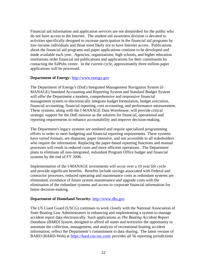Financial aid information and application services are not diminished for the public who do not have access to the Internet. The student aid awareness division is devoted to activities specifically designed to increase participation in the financial aid programs by low-income individuals and those most likely not to have Internet access. Publications about the financial aid programs and paper applications continue to be developed and made available each year. Agencies, organizations, high schools, and higher education institutions order financial aid publications and applications for their constituents by contacting the EdPubs center. In the current cycle, approximately three million paper applications will be processed.

#### **Department of Energy:** [http://www.energy.gov](http://www.energy.gov/)

The Department of Energy's (DoE) Integrated Management Navigation System (I-MANAGE) Standard Accounting and Reporting System and Standard Budget System will offer the Department a modern, comprehensive and responsive financial management system to electronically integrate budget formulation, budget execution, financial accounting, financial reporting, cost accounting, and performance measurement. These systems, along with the I-MANAGE Data Warehouse, will provide critical strategic support for the DoE mission as the solution for financial, operational and reporting requirements to enhance accountability and improve decision-making.

The Department's legacy systems are outdated and require specialized programming efforts in order to meet budgeting and financial reporting requirements. These systems have varied formats, are disparate, paper intensive, and not accessible to all stakeholders who require the information. Replacing the paper-based reporting functions and manual processes will result in reduced costs and more efficient operations. The Department plans to eliminate all non-integrated, redundant Program Office budget and financial systems by the end of FY 2006.

Implementation of the I-MANAGE investments will occur over a 10 year life cycle and provide significant benefits. Benefits include savings associated with Federal and contractor processes, reduced operating and maintenance costs as redundant systems are eliminated, avoidance of future system maintenance and upgrade costs with the elimination of the redundant systems and access to corporate financial information for better decision-making.

## **Department of Homeland Security:** [http://www.dhs.gov](http://www.dhs.gov/)

The US Coast Guard (USCG) continues to work closely with the National Association of State Boating Law Administrators in enhancing and implementing a system to manage accident report data electronically. Such applications as *The Boating Accident Report Database (BARD) System*, designed to afford all states and territories the opportunity to automate the collection, management, and analysis of recreational boating accident information, reflect the Department's commitment to data sharing. The latest version of BARD (BARD-Web) at <https://bard.cns-inc.com/> provides all 56 reporting jurisdictions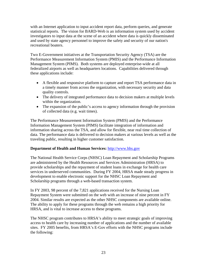with an Internet application to input accident report data, perform queries, and generate statistical reports. The vision for BARD-Web is an information system used by accident investigators to input data at the scene of an accident where data is quickly disseminated and used by state agency personnel to improve the safety and security of our nation's recreational boaters.

Two E-Government initiatives at the Transportation Security Agency (TSA) are the Performance Measurement Information System (PMIS) and the Performance Information Management System (PIMS). Both systems are deployed enterprise-wide at all federalized airports as well as headquarters locations. Capabilities delivered through these applications include:

- A flexible and responsive platform to capture and report TSA performance data in a timely manner from across the organization, with necessary security and data quality controls.
- The delivery of integrated performance data to decision makers at multiple levels within the organization.
- The expansion of the public's access to agency information through the provision of collected data (e.g. wait times).

The Performance Measurement Information System (PMIS) and the Performance Information Management System (PIMS) facilitate integration of information and information sharing across the TSA, and allow for flexible, near real time collection of data. The performance data is delivered to decision makers at various levels as well as the traveling public, resulting in higher customer satisfaction.

## **Department of Health and Human Services:** [http://www.hhs.gov](http://www.hhs.gov/)

The National Health Service Corps (NHSC) Loan Repayment and Scholarship Programs are administered by the Health Resources and Services Administration (HRSA) to provide scholarships and the repayment of student loans in exchange for health care services in underserved communities. During FY 2004, HRSA made steady progress in development to enable electronic support for the NHSC Loan Repayment and Scholarship programs through a web-based transaction system.

In FY 2003, 98 percent of the 7,821 applications received for the Nursing Loan Repayment System were submitted on the web with an increase of nine percent in FY 2004. Similar results are expected as the other NHSC components are available online. The ability to apply for these programs through the web remains a high priority for HRSA, and is vital to increase access to these programs.

The NHSC program contributes to HRSA's ability to meet strategic goals of improving access to health care by increasing number of applications and the number of available sites. FY 2005 benefits, from HRSA's E-Gov efforts with the NHSC programs include the following: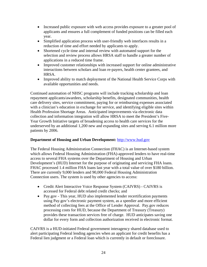- Increased public exposure with web access provides exposure to a greater pool of applicants and ensures a full complement of funded positions can be filled each year.
- Simplified application process with user-friendly web interfaces results in a reduction of time and effort needed by applicants to apply.
- Shortened cycle time and internal review with automated support for the selection and review process allows HRSA staff to handle a greater number of applications in a reduced time frame.
- Improved customer relationships with increased support for online administrative interactions between scholars and loan re-payers, health center grantees, and HRSA.
- Improved ability to match deployment of the National Health Service Corps with available opportunities and needs.

Continued automation of NHSC programs will include tracking scholarship and loan repayment applicants/awardees, scholarship benefits, designated communities, health care delivery sites, service commitment, paying for or reimbursing expenses associated with a clinician's education in exchange for service, and identifying eligible sites within Health Profession Shortage Areas. Anticipated improvements via electronic data collection and information integration will allow HRSA to meet the President's Five-Year Growth Initiative targets of broadening access to health care services for the underserved by an additional 1,200 new and expanding sites and serving 6.1 million more patients by 2006.

## **Department of Housing and Urban Development:** [http://www.hud.gov](http://www.hud.gov/)

The Federal Housing Administration Connection (FHAC) is an Internet-based system which allows Federal Housing Administration (FHA)-approved lenders to have real-time access to several FHA systems over the Department of Housing and Urban Development's (HUD) Internet for the purpose of originating and servicing FHA loans. FHAC processed 1.4 million FHA loans last year with a total value of over \$180 billion. There are currently 9,000 lenders and 90,000 Federal Housing Administration Connection users. The system is used by other agencies to access:

- Credit Alert Interactive Voice Response System (CAIVRS) CAIVRS is accessed for Federal debt related credit checks; and
- Pay.gov This year, HUD also implemented lender recertification payments using Pay.gov's electronic payment system, as a speedier and more efficient method of collecting fees at the Office of Lender Approval. Pay.gov reduces processing costs for HUD, because the Department of Treasury (Treasury) provides these transaction services free of charge. HUD anticipates saving one dollar for every form and collection authorization received in electronic format.

CAIVRS is a HUD-initiated Federal government interagency shared database used to alert participating Federal lending agencies when an applicant for credit benefits has a Federal lien judgment or a Federal loan which is currently in default or foreclosure.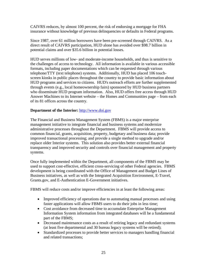CAIVRS reduces, by almost 100 percent, the risk of endorsing a mortgage for FHA insurance without knowledge of previous delinquencies or defaults in Federal programs.

Since 1987, over 61 million borrowers have been pre-screened through CAIVRS. As a direct result of CAIVRS participation, HUD alone has avoided over \$98.7 billion in potential claims and over \$35.6 billion in potential losses.

HUD serves millions of low- and moderate-income households, and thus is sensitive to the challenges of access to technology. All information is available in various accessible formats, including paper documentations which can be requested through various telephone/TTY (text telephone) systems. Additionally, HUD has placed 106 touchscreen kiosks in public places throughout the country to provide basic information about HUD programs and services to citizens. HUD's outreach efforts are further supplemented through events (e.g., local homeownership fairs) sponsored by HUD business partners who disseminate HUD program information. Also, HUD offers free access through HUD Answer Machines to its Internet website – the Homes and Communities page – from each of its 81 offices across the country.

#### **Department of the Interior:** [http://www.doi.gov](http://www.doi.gov/)

The Financial and Business Management System (FBMS) is a major enterprise management initiative to integrate financial and business systems and modernize administrative processes throughout the Department. FBMS will provide access to common financial, grants, acquisition, property, budgetary and business data; provide improved transactional processing; and provide a single method to upgrade and/or replace older Interior systems. This solution also provides better external financial transparency and improved security and controls over financial management and property systems.

Once fully implemented within the Department, all components of the FBMS may be used to support cost-effective, efficient cross-servicing of other Federal agencies. FBMS development is being coordinated with the Office of Management and Budget Lines of Business initiatives, as well as with the Integrated Acquisition Environment, E-Travel, Grants.gov, and E-Authentication E-Government initiatives.

FBMS will reduce costs and/or improve efficiencies in at least the following areas:

- Improved efficiency of operations due to automating manual processes and using faster applications will allow FBMS users to do their jobs in less time;
- Cost avoidance from decreased time to accumulate Enterprise Management Information System information from integrated databases will be a fundamental part of the FBMS;
- Decreased maintenance costs as a result of retiring legacy and redundant systems (at least five departmental and 30 bureau legacy systems will be retired);
- Standardized processes to provide better services to managers handling financial and related transactions;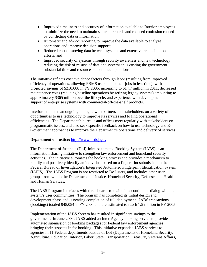- Improved timeliness and accuracy of information available to Interior employees to minimize the need to maintain separate records and reduced confusion caused by conflicting data or information;
- Automatic and ad-hoc reporting to improve the data available to analyze operations and improve decision support;
- Reduced cost of moving data between systems and extensive reconciliation efforts; and
- Improved security of systems through security awareness and new technology reducing the risk of misuse of data and systems thus costing the government substantial time and resources to continue operations.

The initiative reflects cost avoidance factors through labor (resulting from improved efficiency of operations, allowing FBMS users to do their jobs in less time), with projected savings of \$210,000 in FY 2006, increasing to \$14.7 million in 2011; decreased maintenance costs (reducing baseline operations by retiring legacy systems) amounting to approximately \$365 million over the lifecycle; and experience with development and support of enterprise systems with commercial-off-the-shelf products.

Interior maintains an ongoing dialogue with partners and stakeholders on a variety of opportunities to use technology to improve its services and to find operational efficiencies. The Department's bureaus and offices meet regularly with stakeholders on programmatic issues, and also seek specific feedback on how to use technology and E-Government approaches to improve the Department's operations and delivery of services.

## **Department of Justice:** [http://www.usdoj.gov](http://www.usdoj.gov/)

The Department of Justice's (DoJ) Joint Automated Booking System (JABS) is an information sharing initiative to strengthen law enforcement and homeland security activities. The initiative automates the booking process and provides a mechanism to rapidly and positively identify an individual based on a fingerprint submission to the Federal Bureau of Investigation's Integrated Automated Fingerprint Identification System (IAFIS). The JABS Program is not restricted to DoJ users, and includes other user groups from within the Departments of Justice, Homeland Security, Defense, and Health and Human Services.

The JABS Program interfaces with three boards to maintain a continuous dialog with the system's user communities. The program has completed its initial design and development phase and is nearing completion of full deployment. JABS transactions (bookings) totaled 948,054 in FY 2004 and are estimated to reach 1.5 million in FY 2005.

Implementation of the JABS System has resulted in significant savings to the government. In June 2004, JABS added an Inter-Agency booking service to provide automated submission of booking packages for Federal law enforcement agencies bringing their suspects in for booking. This initiative expanded JABS services to agencies in 11 Federal departments outside of DoJ (Departments of Homeland Security, Agriculture, Education, Interior, Labor, State, Transportation, Treasury, Veterans Affairs,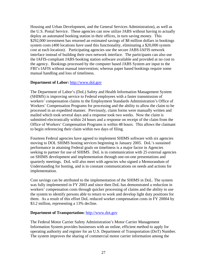Housing and Urban Development, and the General Services Administration), as well as the U.S. Postal Service. These agencies can now utilize JABS without having to actually deploy an automated booking station in their offices, in turn saving money. This \$292,000 investment has returned an estimated savings of \$8 million dollars in bookings system costs (400 locations have used this functionality, eliminating a \$20,000 system cost at each location). Participating agencies use the secure JABS-IAFIS network interface instead of building their own network interface. The participants can also use the IAFIS-compliant JABS booking station software available and provided at no cost to the agency. Bookings processed by the computer based JABS System are input to the FBI's IAFIS without manual intervention; whereas paper based bookings require some manual handling and loss of timeliness.

#### **Department of Labor:** [http://www.dol.gov](http://www.dol.gov/)

The Department of Labor's (DoL) Safety and Health Information Management System (SHIMS) is improving service to Federal employees with a faster transmission of workers' compensation claims to the Employment Standards Administration's Office of Workers' Compensation Programs for processing and the ability to allow the claim to be processed in an expedited manner. Previously, claim forms were manually written and mailed which took several days and a response took two weeks. Now the claim is submitted electronically within 24 hours and a response on receipt of the claim from the Office of Workers' Compensation Programs is within 48 hours. This allows the claimant to begin referencing their claim within two days of filing.

Fourteen Federal agencies have agreed to implement SHIMS software with six agencies moving to DOL SHIMS hosting services beginning in January 2005. DoL's sustained performance in attaining Federal goals on timeliness is a major factor in Agencies seeking to partner for use of SHIMS. DoL is in communication with 25 external agencies on SHIMS development and implementation through one-on-one presentations and quarterly meetings. DoL will also meet with agencies who signed a Memorandum of Understanding for hosting, and is in constant communications on needs and actions for implementation.

Cost savings can be attributed to the implementation of the SHIMS in DoL. The system was fully implemented in FY 2003 and since then DoL has demonstrated a reduction in workers' compensation costs through quicker processing of claims and the ability to use the system to identify persons able to return to work and develop light duty positions for them. As a result of this effort DoL reduced worker compensation costs in FY 20004 by \$3.2 million, representing a 13% decline.

#### **Department of Transportation:** [http://www.dot.gov](http://www.dot.gov/)

The Federal Motor Carrier Safety Administration's Motor Carrier Management Information System provides businesses with an online, efficient method to apply for operating authority and register for an U.S. Department of Transportation (DoT) Number. The system improves the sharing of commercial motor carrier information among the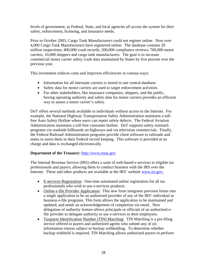levels of government, as Federal, State, and local agencies all access the system for their safety, enforcement, licensing, and insurance needs.

Prior to October 2003, Cargo Tank Manufacturers could not register online. Now over 4,000 Cargo Tank Manufacturers have registered online. The database contains 20 million inspections; 400,000 crash records; 200,000 compliance reviews; 700,000 motor carriers, 10,000 shippers and cargo tank manufacturers. The goal is to increase commercial motor carrier safety crash data maintained by States by five percent over the previous year.

This investment reduces costs and improves efficiencies in various ways:

- Information for all interstate carriers is stored in one central database.
- Safety data for motor carriers are used to target enforcement activities.
- For other stakeholders, like insurance companies, shippers, and the public, having operating authority and safety data for motor carriers provides an efficient way to assess a motor carrier's safety.

DoT offers several methods available to individuals without access to the Internet. For example, the National Highway Transportation Safety Administration maintains a tollfree Auto Safety Hotline where users can report safety defects. The Federal Aviation Administration maintains a toll-free consumer hotline. DoT supports safety outreach programs via roadside billboards on highways and via television commercials. Finally, the Federal Railroad Administration programs provide client software to railroads and states to assist them in their Federal record keeping. This software is provided at no charge and data is exchanged electronically.

## **Department of the Treasury:** [http://www.treas.gov](http://www.treas.gov/)

The Internal Revenue Service (IRS) offers a suite of web-based e-services to eligible tax professionals and payers, allowing them to conduct business with the IRS over the Internet. These and other products are available at the IRS' website www.irs.gov:

- E-services Registration: One-time automated online registration for all tax professionals who wish to use e-services products.
- Online e-file Provider Application: This new form integrates previous forms into a single application to be an authorized provider of any of the IRS' individual or business e-file programs. This form allows the application to be maintained and updated, and sends an acknowledgement of completion via email. New delegation of authority feature allows principals or officials of an authorized efile provider to delegate authority to use e-services to their employees.
- Taxpayer Identification Number (TIN) Matching: TIN Matching is a pre-filing service offered to payers and authorized agents who submit any of six information returns subject to backup withholding. To determine whether backup withhold is required, TIN Matching allows authorized payers to perform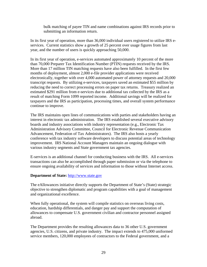bulk matching of payee TIN and name combinations against IRS records prior to submitting an information return.

In its first year of operation, more than 36,000 individual users registered to utilize IRS eservices. Current statistics show a growth of 25 percent over usage figures from last year, and the number of users is quickly approaching 50,000.

In its first year of operation, e-services automated approximately 10 percent of the more than 70,000 Preparer Tax Identification Number (PTIN) requests received by the IRS. More than 17 million TIN matching requests have also been fulfilled. In the first few months of deployment, almost 2,000 e-file provider applications were received electronically, together with over 4,000 automated power of attorney requests and 20,000 transcript requests. By utilizing e-services, taxpayers saved an estimated \$55 million by reducing the need to correct processing errors on paper tax returns. Treasury realized an estimated \$291 million from e-services due to additional tax collected by the IRS as a result of matching Form 1099 reported income. Additional savings will be realized for taxpayers and the IRS as participation, processing times, and overall system performance continue to improve.

The IRS maintains open lines of communications with parties and stakeholders having an interest in electronic tax administration. The IRS established several executive advisory boards and industry associations with industry representation (e.g., Electronic Tax Administration Advisory Committee, Council for Electronic Revenue Communication Advancement, Federation of Tax Administrators). The IRS also hosts a yearly conference with tax industry software developers to discuss potential areas of technology improvement. IRS National Account Managers maintain an ongoing dialogue with various industry segments and State government tax agencies.

E-services is an additional channel for conducting business with the IRS. All e-services transactions can also be accomplished through paper submission or via the telephone to ensure ongoing availability of services and information to those without Internet access.

#### **Department of State:** [http://www.state.gov](http://www.state.gov/)

The eAllowances initiative directly supports the Department of State's (State) strategic objective to strengthen diplomatic and program capabilities with a goal of management and organizational excellence.

When fully operational, the system will compile statistics on overseas living costs, education, hardship differentials, and danger pay and support the computation of allowances to compensate U.S. government civilian and contractor personnel assigned abroad.

The Department provides the resulting allowances data to 36 other U.S. government agencies, U.S. citizens, and private industry. The impact extends to 475,000 uniformed service members, 120,000 employees of contractors to the Federal government, and a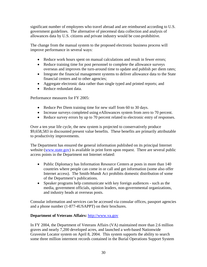significant number of employees who travel abroad and are reimbursed according to U.S. government guidelines. The alternative of piecemeal data collection and analysis of allowances data by U.S. citizens and private industry would be cost-prohibitive.

The change from the manual system to the proposed electronic business process will improve performance in several ways:

- Reduce work hours spent on manual calculations and result in fewer errors;
- Reduce training time for post personnel to complete the allowance surveys overseas and improves the turn-around time to update and publish per diem rates;
- Integrate the financial management systems to deliver allowance data to the State financial centers and to other agencies;
- Aggregate electronic data rather than single typed and printed reports; and
- Reduce redundant data.

Performance measures for FY 2005:

- Reduce Per Diem training time for new staff from 60 to 30 days.
- Increase surveys completed using eAllowances system from zero to 70 percent.
- Reduce survey errors by up to 70 percent related to electronic entry of responses.

Over a ten year life cycle, the new system is projected to conservatively produce \$9,658,583 in discounted present value benefits. These benefits are primarily attributable to productivity improvements.

The Department has ensured the general information published on its principal Internet website (www.state.gov) is available in print form upon request. There are several public access points in the Department not Internet related:

- Public Diplomacy has Information Resource Centers at posts in more than 140 countries where people can come in or call and get information (some also offer Internet access). The Smith-Mundt Act prohibits domestic distribution of some of the Department's publications.
- Speaker programs help communicate with key foreign audiences such as the media, government officials, opinion leaders, non-governmental organizations, and industry heads at overseas posts.

Consular information and services can be accessed via consular offices, passport agencies and a phone number (1-877-4USAPPT) on their brochures.

# **Department of Veterans Affairs:** [http://www.va.gov](http://www.va.gov/)

In FY 2004, the Department of Veterans Affairs (VA) maintained more than 2.6 million graves and nearly 7,200 developed acres, and launched a web-based Nationwide Gravesite Locator system on April 8, 2004. This system supports the ability to search some three million interment records contained in the Burial Operations Support System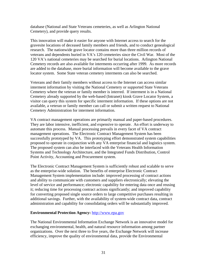database (National and State Veterans cemeteries, as well as Arlington National Cemetery), and provide query results.

This innovation will make it easier for anyone with Internet access to search for the gravesite locations of deceased family members and friends, and to conduct genealogical research. The nationwide grave locator contains more than three million records of veterans and dependents buried in VA's 120 cemeteries since the Civil War. Most of the 120 VA's national cemeteries may be searched for burial locations. Arlington National Cemetery records are also available for interments occurring after 1999. As more records are added to the database, more burial information will become available to the grave locator system. Some State veteran cemetery interments can also be searched.

Veterans and their family members without access to the Internet can access similar interment information by visiting the National Cemetery or supported State Veterans Cemetery where the veteran or family member is interred. If interment is in a National Cemetery already supported by the web-based (Intranet) kiosk Grave Locator System, a visitor can query this system for specific interment information. If these options are not available, a veteran or family member can call or submit a written request to National Cemetery Administration for interment information.

VA contract management operations are primarily manual and paper-based procedures. They are labor intensive, inefficient, and expensive to operate. An effort is underway to automate this process. Manual processing prevails in every facet of VA contract management operations. The Electronic Contract Management System has been successfully prototyped by VA. This prototyping effort demonstrated system capabilities proposed to operate in conjunction with any VA enterprise financial and logistics system. The proposed system can also be interfaced with the Veterans Health Information Systems and Technology Architecture, and the Integrated Funds Distribution, Control Point Activity, Accounting and Procurement system.

The Electronic Contract Management System is sufficiently robust and scalable to serve as the enterprise-wide solution. The benefits of enterprise Electronic Contract Management System implementation include: improved processing of contract actions and ability to communicate with customers and suppliers electronically; elevating the level of service and performance; electronic capability for entering data once and reusing it; reducing time for processing contract actions significantly; and improved capability for converting proposed single source orders to large competitive purchases resulting in additional savings. Further, with the availability of system-wide contract data, contract administration and capability for consolidating orders will be substantially improved.

#### **Environmental Protection Agency:** [http://www.epa.gov](http://www.epa.gov/)

The National Environmental Information Exchange Network is an innovative model for exchanging environmental, health, and natural resource information among partner organizations. Over the next three to five years, the Exchange Network will increase efficiency, improve the quality of environmental data, provide the Environmental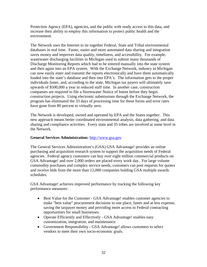Protection Agency (EPA), agencies, and the public with ready access to this data, and increase their ability to employ this information to protect public health and the environment.

The Network uses the Internet to tie together Federal, State and Tribal environmental databases in real time. Faster, easier and more automated data sharing and integration saves money and improves data quality, timeliness, and accessibility. For example, wastewater discharging facilities in Michigan used to submit many thousands of Discharge Monitoring Reports which had to be entered manually into the state system and then again into an EPA system. With the Exchange Network, industry in Michigan can now easily enter and transmit the reports electronically and have them automatically loaded into the state's database and then into EPA's. The information gets to the proper individuals faster, and, according to the state, Michigan tax payers will ultimately save upwards of \$500,000 a year in reduced staff time. In another case, construction companies are required to file a Stormwater Notice of Intent before they begin construction projects. Using electronic submissions through the Exchange Network, the program has eliminated the 33 days of processing time for these forms and error rates have gone from 80 percent to virtually zero.

The Network is developed, owned and operated by EPA and the States together. This new approach means better coordinated environmental analysis, data gathering, and data sharing and compliance activities. Every state and 35 tribes are involved at some level in the Network.

## **General Services Administration:** [http://www.gsa.gov](http://www.gsa.gov/)

The General Services Administration's (GSA) GSA Advantage! provides an online purchasing and acquisition research system to support the acquisition needs of Federal agencies. Federal agency customers can buy over eight million commercial products on GSA Advantage! and over 2,000 orders are placed every work day. For large volume commodity purchases and complex service needs, customers can post requests for quotes and receive bids from the more than 12,000 companies holding GSA multiple awards schedules.

GSA Advantage! achieves improved performance by tracking the following key performance measures:

- Best Value for the Customer GSA Advantage! enables customer agencies to make "best value" procurement decisions in one place, faster and at less expense, saving the taxpayer money and providing more access to Federal contracting opportunities for small businesses.
- Operate Efficiently and Effectively GSA Advantage! enables easy customization, integration, and maintenance.
- Government Responsibility GSA Advantage! allows customers to select vendors to meet their own socio-economic goals.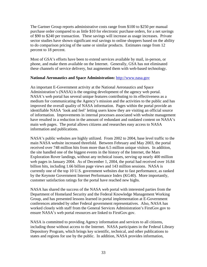The Gartner Group reports administrative costs range from \$100 to \$250 per manual purchase order compared to as little \$10 for electronic purchase orders, for a net savings of \$90 to \$240 per transaction. These savings will increase as usage increases. Private sector studies have shown significant real savings to online shoppers based on the ability to do comparison pricing of the same or similar products. Estimates range from 12 percent to 18 percent.

Most of GSA's efforts have been to extend services available by mail, in-person, or phone, and make them available on the Internet. Generally, GSA has not eliminated these channels of service delivery, but augmented them with web-based technology.

#### **National Aeronautics and Space Administration:** [http://www.nasa.gov](http://www.nasa.gov/)

An important E-Government activity at the National Aeronautics and Space Administration's (NASA) is the ongoing development of the agency web portal. NASA's web portal has several unique features contributing to its effectiveness as a medium for communicating the Agency's mission and the activities to the public and has improved the overall quality of NASA information. Pages within the portal provide an identifiable NASA 'look and feel' letting users know they are visiting an official source of information. Improvements in internal processes associated with website management have resulted in a reduction in the amount of redundant and outdated content on NASA's main web pages. The portal allows citizens and researches easy access to NASA information and publications.

NASA's public websites are highly utilized. From 2002 to 2004, base level traffic to the main NASA website increased threefold. Between February and May 2003, the portal received over 748 million hits from more than 6.5 million unique visitors. In addition, the site handled one of the biggest events in the history of the Internet, the Mars Exploration Rover landings, without any technical issues, serving up nearly 400 million web pages in January 2004. As of December 1, 2004, the portal had received over 16.84 billion hits, including 1.66 billion page views and 143 million sessions. NASA is currently one of the top 10 U.S. government websites due to fast performance, as ranked by the Keynote Government Internet Performance Index (KG40). More importantly, customer satisfaction ratings for the portal have reached new highs.

NASA has shared the success of the NASA web portal with interested parties from the Department of Homeland Security and the Federal Knowledge Management Working Group, and has presented lessons learned in portal implementation at E-Government conferences attended by other Federal government representatives. Also, NASA has worked closely with staff from the General Services Administration's FirstGov.gov to ensure NASA's web portal resources are linked to FirstGov.gov.

NASA is committed to providing Agency information and services to all citizens, including those without access to the Internet. NASA participates in the Federal Library Depository Program, which brings key scientific, technical, and other publications to states and regions for use by the public. In addition, NASA provides information,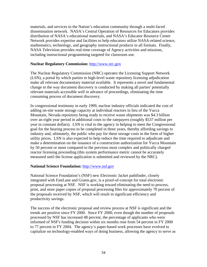materials, and services to the Nation's education community through a multi-faced dissemination network. NASA's Central Operation of Resources for Educators provides distribution of NASA's educational materials, and NASA's Educator Resource Center Network provides expertise and facilities to help educators utilize NASA-related science, mathematics, technology, and geography instructional products in all formats. Finally, NASA Television provides real-time coverage of Agency activities and missions, including instructional programming targeted for classroom use.

#### **Nuclear Regulatory Commission:** [http://www.nrc.gov](http://www.nrc.gov/)

The Nuclear Regulatory Commission (NRC) operates the Licensing Support Network (LSN), a portal by which parties to high-level waste repository licensing adjudication make all relevant documentary material available. It represents a novel and fundamental change to the way document discovery is conducted by making all parties' potentially relevant materials accessible well in advance of proceedings, eliminating the time consuming process of document discovery.

In congressional testimony in early 1999, nuclear industry officials indicated the cost of adding on-site waste storage capacity at individual reactors in lieu of the Yucca Mountain, Nevada repository being ready to receive waste shipments was \$4.3 billion over an eight year period in additional costs to the ratepayers (roughly \$537 million per year in constant dollars). LSN is vital to the agency in helping to meet the Congressional goal for the hearing process to be completed in three years, thereby affording savings to industry and, ultimately, the public who pay for these storage costs in the form of higher utility prices. LSN is also expected to help reduce the time required to adjudicate and make a determination on the issuance of a construction authorization for Yucca Mountain by 50 percent or more compared to the previous most complex and politically charged reactor licensing proceeding (this system performance metric cannot be accurately measured until the license application is submitted and reviewed by the NRC).

## **National Science Foundation:** [http://www.nsf.gov](http://www.nsf.gov/)

National Science Foundation's (NSF) new Electronic Jacket pathfinder, closely integrated with FastLane and Grants.gov, is a proof-of-concept for total electronic proposal processing at NSF. NSF is working toward eliminating the need to process, print, and store paper copies of proposal processing files for approximately 70 percent of the proposals received by NSF, which will result in significant efficiency and productivity savings.

The success of the electronic proposal and review process at NSF is significant and the trends are positive since FY 2000. Since FY 2000, even though the number of proposals processed by NSF has increased 48 percent, the percentage of applicants who were informed of NSF's funding decision within six months rose from 54 percent in FY 2000 to 77 percent in FY 2004. The agency's paper-based work processes have evolved to capitalize on technology-enabled ways of doing business, allowing the agency to serve as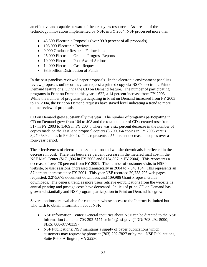an effective and capable steward of the taxpayer's resources. As a result of the technology innovations implemented by NSF, in FY 2004, NSF processed more than:

- 43,500 Electronic Proposals (over 99.9 percent of all proposals)
- 195,000 Electronic Reviews
- 9,000 Graduate Research Fellowships
- 25,000 Electronic Grantee Progress Reports
- 10,000 Electronic Post-Award Actions
- 14,000 Electronic Cash Requests
- \$3.5 billion Distribution of Funds

In the past panelists reviewed paper proposals. In the electronic environment panelists review proposals online or they can request a printed copy via NSF's electronic Print on Demand feature or a CD via the CD on Demand feature. The number of participating programs in Print on Demand this year is 622, a 14 percent increase from FY 2003. While the number of programs participating in Print on Demand increased from FY 2003 to FY 2004, the Print on Demand requests have stayed level indicating a trend to more online review of proposals.

CD on Demand grew substantially this year. The number of programs participating in CD on Demand grew from 104 to 408 and the total number of CD's created rose from 317 in FY 2003 to 1,469 in FY 2004. There was a six percent decrease in the number of copies made on the FastLane proposal copiers (8,790,064 copies in FY 2003 versus 8,270,639 copies in FY 2004). This represents a 55 percent decrease in copies over a four-year period.

The effectiveness of electronic dissemination and website downloads is reflected in the decrease in cost. There has been a 22 percent decrease in the metered mail cost in the NSF Mail Center (\$171,906 in FY 2003 and \$134,867 in FY 2004). This represents a decrease of over 70 percent from FY 2001. The number of customer visits to NSF's website, or user sessions, increased dramatically in 2004 to 7,548,134. This represents an 87 percent increase since FY 2001. This year NSF recorded 29,738,798 web pages requested; 2,275,675 document downloads and 109,986 Grant Proposal Guide downloads. The general trend as more users retrieve e-publications from the website, is annual printing and postage costs have decreased. In lieu of print, CD on Demand has grown substantially and NSF program participation in Print on Demand has grown.

Several options are available for customers whose access to the Internet is limited but who wish to obtain information about NSF:

- NSF Information Center: General inquiries about NSF can be directed to the NSF Information Center at 703-292-5111 or info@nsf.gov. (TDD: 703-292-5090; FIRS: 800-877-8339).
- NSF Publications: NSF maintains a supply of paper publications which customers may request by phone at (703) 292-7827 or by mail NSF Publications, Suite P-60, Arlington, VA 22230.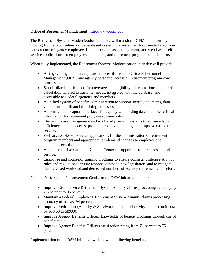# **Office of Personnel Management:** [http://www.opm.gov](http://www.opm.gov/)

The Retirement Systems Modernization initiative will transform OPM operations by moving from a labor intensive, paper-based system to a system with automated electronic data capture of agency employee data, electronic case management, and web-based selfservice applications for employees, annuitants, and retirement program administrators.

When fully implemented, the Retirement Systems Modernization initiative will provide:

- A single, integrated data repository accessible to the Office of Personnel Management (OPM) and agency personnel across all retirement program core processes.
- Standardized applications for coverage and eligibility determinations and benefits calculation tailored to customer needs, integrated with the database, and accessible to Federal agencies and members.
- A unified system of benefits administration to support annuity payments, data validation, and financial auditing processes.
- Automated data capture interfaces for agency withholding data and other critical information for retirement program administration.
- Electronic case management and workload planning systems to enhance labor efficiency and data access, promote proactive planning, and improve customer service.
- Web accessible self-service applications for the administration of retirement program members and appropriate, on-demand changes to employee and annuitant records.
- A comprehensive Customer Contact Center to support customer needs and selfservice.
- Employee and counselor training programs to ensure consistent interpretation of rules and regulations, ensure responsiveness to new legislation, and to mitigate the increased workload and decreased numbers of Agency retirement counselors.

Planned Performance Improvement Goals for the RSM initiative include:

- Improve Civil Service Retirement System Annuity claims processing accuracy by 2.5 percent to 96 percent.
- Maintain a Federal Employees' Retirement System Annuity claims processing accuracy of at least 94 percent.
- Improve Retirement (Annuity & Survivor) claims productivity reduce unit cost by \$19.53 to \$89.00.
- Improve Agency Benefits Officers knowledge of benefit programs through use of benefits tools.
- Improve Agency Benefits Officers satisfaction rating from 71 percent to 75 percent.

Implementation of the RSM initiative will show the following benefits.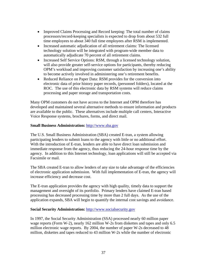- Improved Claims Processing and Record keeping: The total number of claims processors/record-keeping specialists is expected to drop from about 532 full time employees to about 340 full time employees after RSM is implemented.
- Increased automatic adjudication of all retirement claims: The licensed technology solution will be integrated with program-wide member data to automatically adjudicate 70 percent of all retirement claims.
- Increased Self Service Options: RSM, through a licensed technology solution, will also provide greater self-service options for participants, thereby reducing OPM's workload and improving customer satisfaction by increasing one's ability to become actively involved in administering one's retirement benefits.
- Reduced Reliance on Paper Data: RSM provides for the conversion into electronic data of prior history paper records, (personnel folders), located at the ROC. The use of this electronic data by RSM systems will reduce claims processing and paper storage and transportation costs.

Many OPM customers do not have access to the Internet and OPM therefore has developed and maintained several alternative methods to ensure information and products are available to the public. These alternatives include multiple call centers, Interactive Voice Response systems, brochures, forms, and direct mail.

#### **Small Business Administration:** [http://www.sba.gov](http://www.sba.gov/)

The U.S. Small Business Administration (SBA) created E-tran, a system allowing participating lenders to submit loans to the agency with little or no additional effort. With the introduction of E-tran, lenders are able to have direct loan submission and immediate response from the agency, thus reducing the 24-hour response time by the agency. In addition to this Internet technology, loan applications will still be accepted via Facsimile or mail.

The SBA created E-tran to allow lenders of any size to take advantage of the efficiencies of electronic application submission. With full implementation of E-tran, the agency will increase efficiency and decrease cost.

The E-tran application provides the agency with high quality, timely data to support the management and oversight of its portfolio. Primary lenders have claimed E-tran based processing has decreased processing time by more than 2 full days. As the use of the application expands, SBA will begin to quantify the internal cost savings and avoidance.

## **Social Security Administration:** [http://www.socialsecurity.gov](http://www.socialsecurity.gov/)

In 1997, the Social Security Administration (SSA) processed nearly 60 million paper wage reports (Form W-2), nearly 162 million W-2s from diskettes and tapes and only 6.5 million electronic wage reports. By 2004, the number of paper W-2s decreased to 48 million, diskettes and tapes reduced to 43 million W-2s while the number of electronic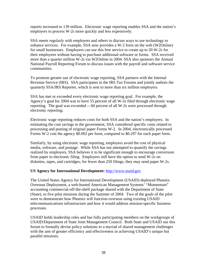reports increased to 139 million. Electronic wage reporting enables SSA and the nation's employers to process W-2s more quickly and less expensively.

SSA meets regularly with employers and others to discuss ways to use technology to enhance services. For example, SSA now provides a W-2 form on the web (W2Online) for small businesses. Employers can use this free service to create up to 20 W-2s for their employees without having to purchase additional software or forms. SSA received more than a quarter million W-2s via W2Online in 2004. SSA also sponsors the Annual National Payroll Reporting Forum to discuss issues with the payroll and software service communities.

To promote greater use of electronic wage reporting, SSA partners with the Internal Revenue Service (IRS). SSA participates in the IRS Tax Forums and jointly authors the quarterly SSA/IRS Reporter, which is sent to more than six million employers.

SSA has met or exceeded every electronic wage reporting goal. For example, the Agency's goal for 2004 was to have 55 percent of all W-2s filed through electronic wage reporting. The goal was exceeded -- 60 percent of all W-2s were processed through electronic reporting.

Electronic wage reporting reduces costs for both SSA and the nation's employers. In estimating the cost savings to the government, SSA considered specific costs related to processing and posting of original paper Forms W-2. In 2004, electronically processed Forms W-2 cost the agency \$0.002 per form, compared to \$0.297 for each paper form.

Similarly, by using electronic wage reporting, employers avoid the cost of physical media, software, and postage. While SSA has not attempted to quantify the savings realized by employers, SSA believes it to be significant enough to encourage conversion from paper to electronic filing. Employers still have the option to send W-2s on diskettes, tapes, and cartridges; for fewer than 250 filings, they may send paper W-2s.

## **US Agency for International Development:** [http://www.usaid.gov](http://www.usaid.gov/)

The United States Agency for International Development (USAID) deployed Phoenix Overseas Deployment, a web-hosted American Management Systems' "Momentum" accounting commercial-off-the-shelf package shared with the Department of State (State), to five pilot missions during the Summer of 2004. Two of the goals of the pilot were to demonstrate how Phoenix will function overseas using existing USAID telecommunications infrastructure and how it would address mission-specific business processes.

USAID holds leadership roles and has fully participating members on the workgroups of USAID/Department of State Joint Management Council. Both State and USAID use this forum to formally devise policy solutions to a myriad of shared management challenges with the aim of greater efficiency and effectiveness in achieving USAID's unique but parallel missions.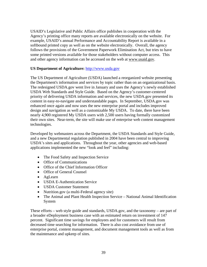USAID's Legislative and Public Affairs office publishes in cooperation with the Agency's printing office many reports are available electronically on the website. For example, USAID's annual Performance and Accountability Report is available in a softbound printed copy as well as on the website electronically. Overall, the agency follows the provisions of the Government Paperwork Elimination Act, but tries to have some printed versions available for those stakeholders without computer access. This and other agency information can be accessed on the web at [www.usaid.gov](http://www.usaid.gov/).

## **US Department of Agriculture:** [http://www.usda.gov](http://www.usda.gov/)

The US Department of Agriculture (USDA) launched a reorganized website presenting the Department's information and services by topic rather than on an organizational basis. The redesigned USDA.gov went live in January and uses the Agency's newly established USDA Web Standards and Style Guide. Based on the Agency's customer-centered priority of delivering USDA information and services, the new USDA.gov presented its content in easy-to-navigate and understandable pages. In September, USDA.gov was enhanced once again and now uses the new enterprise portal and includes improved design and navigation as well as a customizable My USDA. To date, there have been nearly 4,900 registered My USDA users with 2,500 users having formally customized their own sites. Near-term, the site will make use of enterprise web content management technologies.

Developed by webmasters across the Department, the USDA Standards and Style Guide, and a new Departmental regulation published in 2004 have been central to improving USDA's sites and applications. Throughout the year, other agencies and web-based applications implemented the new "look and feel" including:

- The Food Safety and Inspection Service
- Office of Communications
- Office of the Chief Information Officer
- Office of General Counsel
- AgLearn
- USDA E-Authentication Service
- USDA Customer Statement
- Nutrition.gov (a multi-Federal agency site)
- The Animal and Plant Health Inspection Service National Animal Identification System

These efforts – web style guide and standards, USDA.gov, and the taxonomy – are part of a broader eDeployment business case with an estimated return on investment of 147 percent. Significant time savings for employees and for customers will result from decreased time searching for information. There is also cost avoidance from use of enterprise portal, content management, and document management tools as well as from the maintenance and upkeep of sites.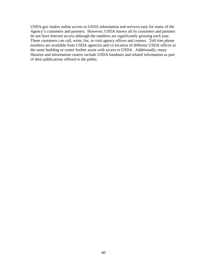USDA.gov makes online access to USDA information and services easy for many of the Agency's customers and partners. However, USDA knows all its customers and partners do not have Internet access although the numbers are significantly growing each year. These customers can call, write, fax, or visit agency offices and centers. Toll-free phone numbers are available from USDA agencies and co-location of different USDA offices in the same building or center further assist with access to USDA. Additionally, many libraries and information centers include USDA handouts and related information as part of their publications offered to the public.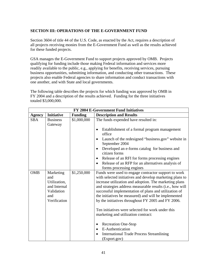# <span id="page-40-0"></span>**SECTION III: OPERATIONS OF THE E-GOVERNMENT FUND**

Section 3604 of title 44 of the U.S. Code, as enacted by the Act, requires a description of all projects receiving monies from the E-Government Fund as well as the results achieved for these funded projects.

GSA manages the E-Government Fund to support projects approved by OMB. Projects qualifying for funding include those making Federal information and services more readily available to the public, e.g., applying for benefits, receiving services, pursuing business opportunities, submitting information, and conducting other transactions. These projects also enable Federal agencies to share information and conduct transactions with one another, and with State and local governments.

The following table describes the projects for which funding was approved by OMB in FY 2004 and a description of the results achieved. Funding for the three initiatives totaled \$3,000,000.

| <b>FY 2004 E-Government Fund Initiatives</b> |                                                                                       |                |                                                                                                                                                                                                                                                                                                                                                                                                                                                                                                            |  |
|----------------------------------------------|---------------------------------------------------------------------------------------|----------------|------------------------------------------------------------------------------------------------------------------------------------------------------------------------------------------------------------------------------------------------------------------------------------------------------------------------------------------------------------------------------------------------------------------------------------------------------------------------------------------------------------|--|
| Agency                                       | <b>Initiative</b>                                                                     | <b>Funding</b> | <b>Description and Results</b>                                                                                                                                                                                                                                                                                                                                                                                                                                                                             |  |
| <b>SBA</b>                                   | <b>Business</b><br>Gateway                                                            | \$1,000,000    | The funds expended have resulted in:                                                                                                                                                                                                                                                                                                                                                                                                                                                                       |  |
|                                              |                                                                                       |                | Establishment of a formal program management<br>office                                                                                                                                                                                                                                                                                                                                                                                                                                                     |  |
|                                              |                                                                                       |                | Launch of the redesigned "business.gov" website in<br>September 2004                                                                                                                                                                                                                                                                                                                                                                                                                                       |  |
|                                              |                                                                                       |                | Developed an e-forms catalog for business and<br>$\bullet$<br>citizen forms                                                                                                                                                                                                                                                                                                                                                                                                                                |  |
|                                              |                                                                                       |                | Release of an RFI for forms processing engines<br>$\bullet$                                                                                                                                                                                                                                                                                                                                                                                                                                                |  |
|                                              |                                                                                       |                | Release of an RFP for an alternatives analysis of<br>forms processing engines                                                                                                                                                                                                                                                                                                                                                                                                                              |  |
| <b>OMB</b>                                   | Marketing<br>and<br>Utilization,<br>and Internal<br>Validation<br>and<br>Verification | \$1,250,000    | Funds were used to engage contractor support to work<br>with selected initiatives and develop marketing plans to<br>increase utilization and adoption. The marketing plans<br>and strategies address measurable results (i.e., how will<br>successful implementation of plans and utilization of<br>the initiatives be measured) and will be implemented<br>by the initiatives throughout FY 2005 and FY 2006.<br>Ten initiatives were selected for work under this<br>marketing and utilization contract: |  |
|                                              |                                                                                       |                | <b>Recreation One-Stop</b><br>٠<br>E-Authentication<br>$\bullet$<br><b>International Trade Process Streamlining</b><br>(Export.gov)                                                                                                                                                                                                                                                                                                                                                                        |  |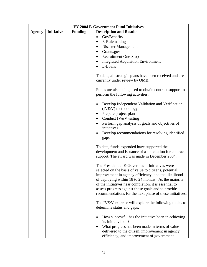| FY 2004 E-Government Fund Initiatives |                   |                |                                                                |
|---------------------------------------|-------------------|----------------|----------------------------------------------------------------|
| <b>Agency</b>                         | <b>Initiative</b> | <b>Funding</b> | <b>Description and Results</b>                                 |
|                                       |                   |                | GovBenefits<br>$\bullet$                                       |
|                                       |                   |                | E-Rulemaking<br>$\bullet$                                      |
|                                       |                   |                | Disaster Management<br>$\bullet$                               |
|                                       |                   |                | Grants.gov<br>$\bullet$                                        |
|                                       |                   |                | <b>Recruitment One-Stop</b><br>$\bullet$                       |
|                                       |                   |                | <b>Integrated Acquisition Environment</b><br>$\bullet$         |
|                                       |                   |                | E-Loans                                                        |
|                                       |                   |                |                                                                |
|                                       |                   |                | To date, all strategic plans have been received and are        |
|                                       |                   |                | currently under review by OMB.                                 |
|                                       |                   |                |                                                                |
|                                       |                   |                | Funds are also being used to obtain contract support to        |
|                                       |                   |                | perform the following activities:                              |
|                                       |                   |                |                                                                |
|                                       |                   |                | Develop Independent Validation and Verification                |
|                                       |                   |                | (IV&V) methodology                                             |
|                                       |                   |                | Prepare project plan<br>٠                                      |
|                                       |                   |                | Conduct IV&V testing<br>$\bullet$                              |
|                                       |                   |                | Perform gap analysis of goals and objectives of<br>initiatives |
|                                       |                   |                |                                                                |
|                                       |                   |                | Develop recommendations for resolving identified<br>$\bullet$  |
|                                       |                   |                | gaps                                                           |
|                                       |                   |                | To date, funds expended have supported the                     |
|                                       |                   |                | development and issuance of a solicitation for contract        |
|                                       |                   |                | support. The award was made in December 2004.                  |
|                                       |                   |                |                                                                |
|                                       |                   |                | The Presidential E-Government Initiatives were                 |
|                                       |                   |                | selected on the basis of value to citizens, potential          |
|                                       |                   |                | improvement in agency efficiency, and the likelihood           |
|                                       |                   |                | of deploying within 18 to 24 months. As the majority           |
|                                       |                   |                | of the initiatives near completion, it is essential to         |
|                                       |                   |                | assess progress against those goals and to provide             |
|                                       |                   |                | recommendations for the next phase of these initiatives.       |
|                                       |                   |                |                                                                |
|                                       |                   |                | The IV&V exercise will explore the following topics to         |
|                                       |                   |                | determine status and gaps:                                     |
|                                       |                   |                | How successful has the initiative been in achieving            |
|                                       |                   |                | its initial vision?                                            |
|                                       |                   |                | What progress has been made in terms of value                  |
|                                       |                   |                | delivered to the citizen, improvement in agency                |
|                                       |                   |                | efficiency, and improvement of government                      |